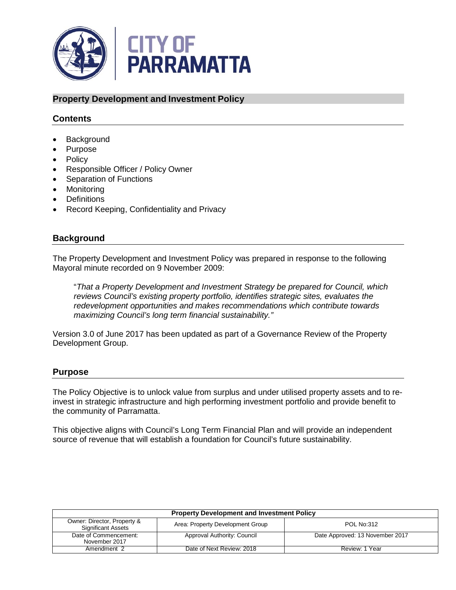

## **Property Development and Investment Policy**

## **Contents**

- Background
- Purpose
- Policy
- Responsible Officer / Policy Owner
- Separation of Functions
- Monitoring
- Definitions
- Record Keeping, Confidentiality and Privacy

### **Background**

The Property Development and Investment Policy was prepared in response to the following Mayoral minute recorded on 9 November 2009:

"*That a Property Development and Investment Strategy be prepared for Council, which reviews Council's existing property portfolio, identifies strategic sites, evaluates the redevelopment opportunities and makes recommendations which contribute towards maximizing Council's long term financial sustainability."*

Version 3.0 of June 2017 has been updated as part of a Governance Review of the Property Development Group.

### **Purpose**

The Policy Objective is to unlock value from surplus and under utilised property assets and to reinvest in strategic infrastructure and high performing investment portfolio and provide benefit to the community of Parramatta.

This objective aligns with Council's Long Term Financial Plan and will provide an independent source of revenue that will establish a foundation for Council's future sustainability.

| <b>Property Development and Investment Policy</b>        |                                  |                                 |  |
|----------------------------------------------------------|----------------------------------|---------------------------------|--|
| Owner: Director, Property &<br><b>Significant Assets</b> | Area: Property Development Group | <b>POL No:312</b>               |  |
| Date of Commencement:<br>November 2017                   | Approval Authority: Council      | Date Approved: 13 November 2017 |  |
| Amendment 2                                              | Date of Next Review: 2018        | Review: 1 Year                  |  |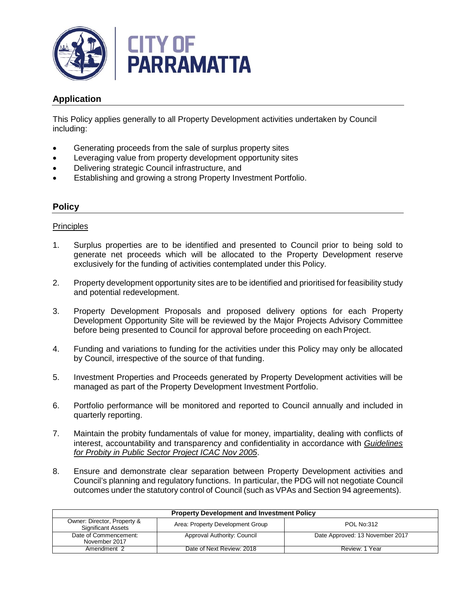

# **Application**

This Policy applies generally to all Property Development activities undertaken by Council including:

- Generating proceeds from the sale of surplus property sites
- Leveraging value from property development opportunity sites
- Delivering strategic Council infrastructure, and
- Establishing and growing a strong Property Investment Portfolio.

## **Policy**

#### **Principles**

- 1. Surplus properties are to be identified and presented to Council prior to being sold to generate net proceeds which will be allocated to the Property Development reserve exclusively for the funding of activities contemplated under this Policy.
- 2. Property development opportunity sites are to be identified and prioritised for feasibility study and potential redevelopment.
- 3. Property Development Proposals and proposed delivery options for each Property Development Opportunity Site will be reviewed by the Major Projects Advisory Committee before being presented to Council for approval before proceeding on each Project.
- 4. Funding and variations to funding for the activities under this Policy may only be allocated by Council, irrespective of the source of that funding.
- 5. Investment Properties and Proceeds generated by Property Development activities will be managed as part of the Property Development Investment Portfolio.
- 6. Portfolio performance will be monitored and reported to Council annually and included in quarterly reporting.
- 7. Maintain the probity fundamentals of value for money, impartiality, dealing with conflicts of interest, accountability and transparency and confidentiality in accordance with *Guidelines for Probity in Public Sector Project ICAC Nov 2005*.
- 8. Ensure and demonstrate clear separation between Property Development activities and Council's planning and regulatory functions. In particular, the PDG will not negotiate Council outcomes under the statutory control of Council (such as VPAs and Section 94 agreements).

| <b>Property Development and Investment Policy</b>        |                                  |                                 |
|----------------------------------------------------------|----------------------------------|---------------------------------|
| Owner: Director, Property &<br><b>Significant Assets</b> | Area: Property Development Group | <b>POL No:312</b>               |
| Date of Commencement:<br>November 2017                   | Approval Authority: Council      | Date Approved: 13 November 2017 |
| Amendment 2                                              | Date of Next Review: 2018        | Review: 1 Year                  |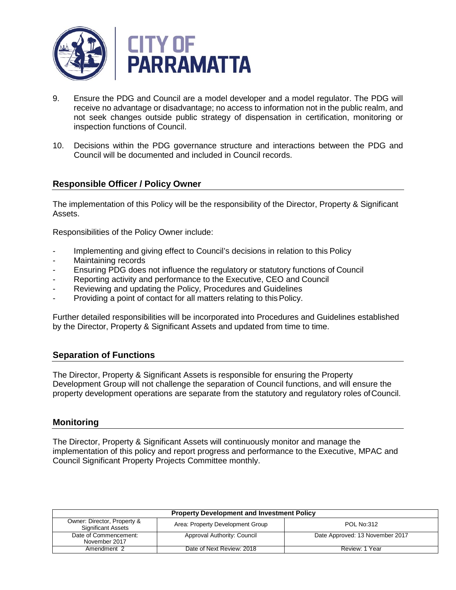

- 9. Ensure the PDG and Council are a model developer and a model regulator. The PDG will receive no advantage or disadvantage; no access to information not in the public realm, and not seek changes outside public strategy of dispensation in certification, monitoring or inspection functions of Council.
- 10. Decisions within the PDG governance structure and interactions between the PDG and Council will be documented and included in Council records.

## **Responsible Officer / Policy Owner**

The implementation of this Policy will be the responsibility of the Director, Property & Significant Assets.

Responsibilities of the Policy Owner include:

- Implementing and giving effect to Council's decisions in relation to this Policy
- Maintaining records
- Ensuring PDG does not influence the regulatory or statutory functions of Council
- Reporting activity and performance to the Executive, CEO and Council
- Reviewing and updating the Policy, Procedures and Guidelines
- Providing a point of contact for all matters relating to this Policy.

Further detailed responsibilities will be incorporated into Procedures and Guidelines established by the Director, Property & Significant Assets and updated from time to time.

### **Separation of Functions**

The Director, Property & Significant Assets is responsible for ensuring the Property Development Group will not challenge the separation of Council functions, and will ensure the property development operations are separate from the statutory and regulatory roles ofCouncil.

#### **Monitoring**

The Director, Property & Significant Assets will continuously monitor and manage the implementation of this policy and report progress and performance to the Executive, MPAC and Council Significant Property Projects Committee monthly.

| <b>Property Development and Investment Policy</b>        |                                  |                                 |  |
|----------------------------------------------------------|----------------------------------|---------------------------------|--|
| Owner: Director, Property &<br><b>Significant Assets</b> | Area: Property Development Group | <b>POL No:312</b>               |  |
| Date of Commencement:<br>November 2017                   | Approval Authority: Council      | Date Approved: 13 November 2017 |  |
| Amendment 2                                              | Date of Next Review: 2018        | Review: 1 Year                  |  |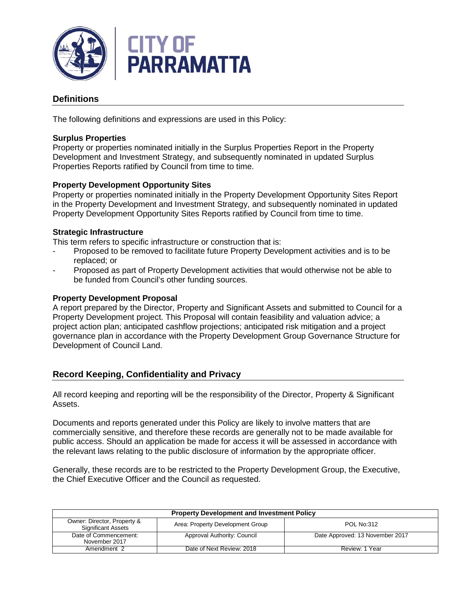

# **Definitions**

The following definitions and expressions are used in this Policy:

#### **Surplus Properties**

Property or properties nominated initially in the Surplus Properties Report in the Property Development and Investment Strategy, and subsequently nominated in updated Surplus Properties Reports ratified by Council from time to time.

### **Property Development Opportunity Sites**

Property or properties nominated initially in the Property Development Opportunity Sites Report in the Property Development and Investment Strategy, and subsequently nominated in updated Property Development Opportunity Sites Reports ratified by Council from time to time.

#### **Strategic Infrastructure**

This term refers to specific infrastructure or construction that is:

- Proposed to be removed to facilitate future Property Development activities and is to be replaced; or
- Proposed as part of Property Development activities that would otherwise not be able to be funded from Council's other funding sources.

#### **Property Development Proposal**

A report prepared by the Director, Property and Significant Assets and submitted to Council for a Property Development project. This Proposal will contain feasibility and valuation advice; a project action plan; anticipated cashflow projections; anticipated risk mitigation and a project governance plan in accordance with the Property Development Group Governance Structure for Development of Council Land.

### **Record Keeping, Confidentiality and Privacy**

All record keeping and reporting will be the responsibility of the Director, Property & Significant Assets.

Documents and reports generated under this Policy are likely to involve matters that are commercially sensitive, and therefore these records are generally not to be made available for public access. Should an application be made for access it will be assessed in accordance with the relevant laws relating to the public disclosure of information by the appropriate officer.

Generally, these records are to be restricted to the Property Development Group, the Executive, the Chief Executive Officer and the Council as requested.

| <b>Property Development and Investment Policy</b>        |                                  |                                 |  |
|----------------------------------------------------------|----------------------------------|---------------------------------|--|
| Owner: Director, Property &<br><b>Significant Assets</b> | Area: Property Development Group | <b>POL No:312</b>               |  |
| Date of Commencement:<br>November 2017                   | Approval Authority: Council      | Date Approved: 13 November 2017 |  |
| Amendment 2                                              | Date of Next Review: 2018        | Review: 1 Year                  |  |